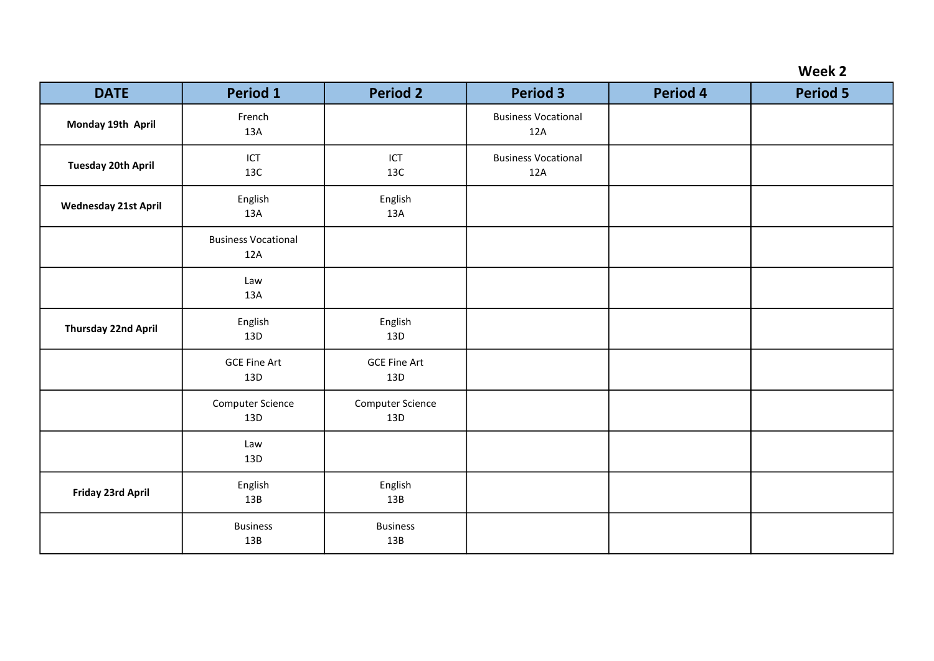| <b>DATE</b>                 | <b>Period 1</b>                   | <b>Period 2</b>            | <b>Period 3</b>                   | <b>Period 4</b> | <b>Period 5</b> |
|-----------------------------|-----------------------------------|----------------------------|-----------------------------------|-----------------|-----------------|
| Monday 19th April           | French<br>13A                     |                            | <b>Business Vocational</b><br>12A |                 |                 |
| <b>Tuesday 20th April</b>   | ICT<br>13C                        | ICT<br>13C                 | <b>Business Vocational</b><br>12A |                 |                 |
| <b>Wednesday 21st April</b> | English<br>13A                    | English<br>13A             |                                   |                 |                 |
|                             | <b>Business Vocational</b><br>12A |                            |                                   |                 |                 |
|                             | Law<br>13A                        |                            |                                   |                 |                 |
| <b>Thursday 22nd April</b>  | English<br>13D                    | English<br>13D             |                                   |                 |                 |
|                             | <b>GCE Fine Art</b><br>13D        | <b>GCE Fine Art</b><br>13D |                                   |                 |                 |
|                             | Computer Science<br>13D           | Computer Science<br>13D    |                                   |                 |                 |
|                             | Law<br>13D                        |                            |                                   |                 |                 |
| Friday 23rd April           | English<br>13B                    | English<br>13B             |                                   |                 |                 |
|                             | <b>Business</b><br>13B            | <b>Business</b><br>13B     |                                   |                 |                 |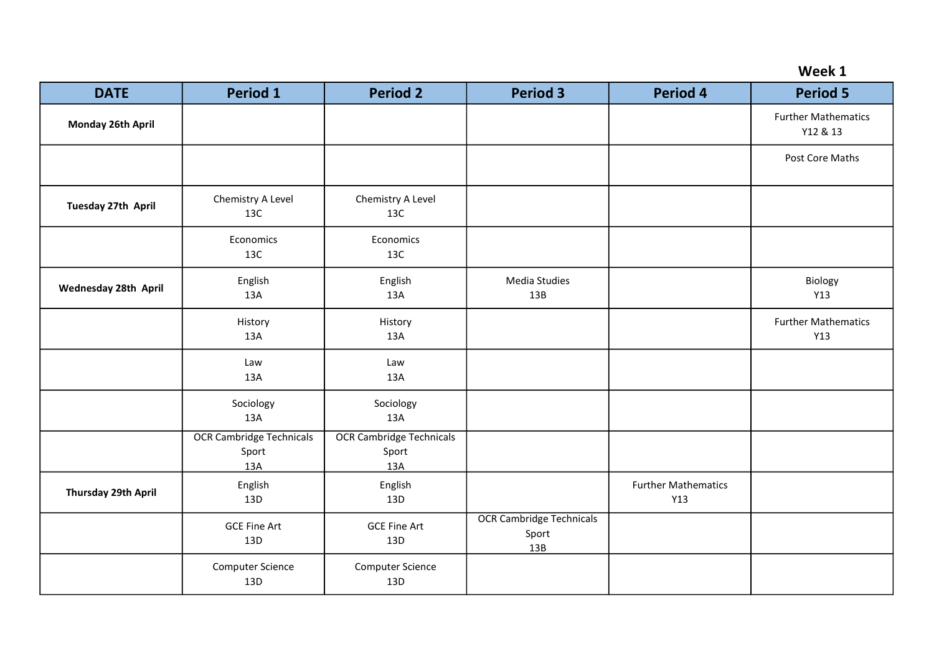|  |  | Week |  |
|--|--|------|--|
|--|--|------|--|

| <b>DATE</b>                 | <b>Period 1</b>                                 | <b>Period 2</b>                                 | <b>Period 3</b>                                 | <b>Period 4</b>                   | <b>Period 5</b>                        |
|-----------------------------|-------------------------------------------------|-------------------------------------------------|-------------------------------------------------|-----------------------------------|----------------------------------------|
| Monday 26th April           |                                                 |                                                 |                                                 |                                   | <b>Further Mathematics</b><br>Y12 & 13 |
|                             |                                                 |                                                 |                                                 |                                   | Post Core Maths                        |
| Tuesday 27th April          | Chemistry A Level<br>13C                        | Chemistry A Level<br>13C                        |                                                 |                                   |                                        |
|                             | Economics<br>13C                                | Economics<br>13C                                |                                                 |                                   |                                        |
| <b>Wednesday 28th April</b> | English<br>13A                                  | English<br>13A                                  | Media Studies<br>13B                            |                                   | Biology<br>Y13                         |
|                             | History<br>13A                                  | History<br>13A                                  |                                                 |                                   | <b>Further Mathematics</b><br>Y13      |
|                             | Law<br>13A                                      | Law<br>13A                                      |                                                 |                                   |                                        |
|                             | Sociology<br>13A                                | Sociology<br>13A                                |                                                 |                                   |                                        |
|                             | <b>OCR Cambridge Technicals</b><br>Sport<br>13A | <b>OCR Cambridge Technicals</b><br>Sport<br>13A |                                                 |                                   |                                        |
| Thursday 29th April         | English<br>13D                                  | English<br>13D                                  |                                                 | <b>Further Mathematics</b><br>Y13 |                                        |
|                             | <b>GCE Fine Art</b><br>13D                      | <b>GCE Fine Art</b><br>13D                      | <b>OCR Cambridge Technicals</b><br>Sport<br>13B |                                   |                                        |
|                             | Computer Science<br>13D                         | Computer Science<br>13D                         |                                                 |                                   |                                        |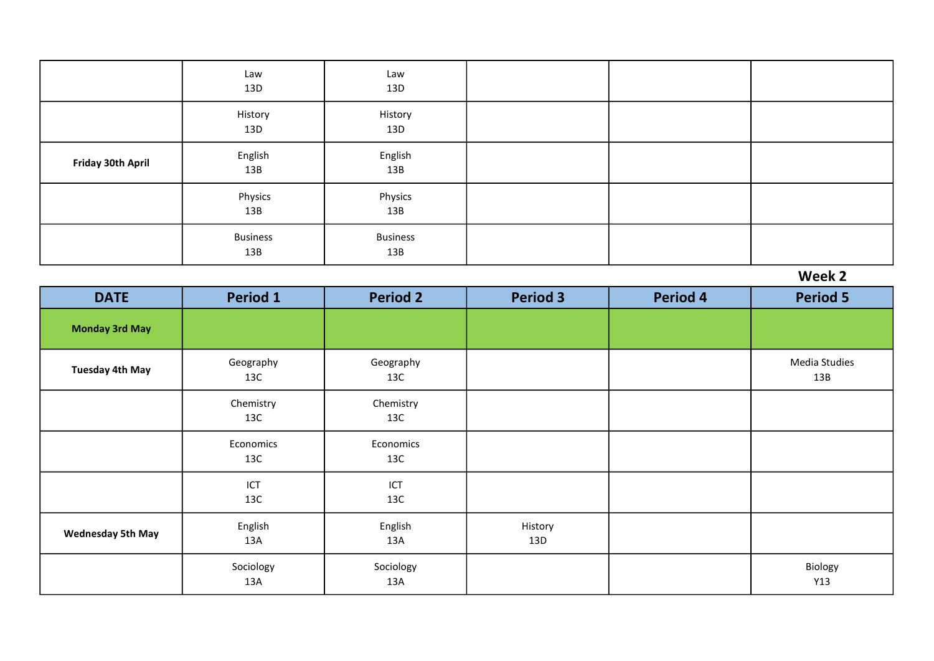|                   | Law<br>13D             | Law<br>13D             |  |  |
|-------------------|------------------------|------------------------|--|--|
|                   | History<br>13D         | History<br>13D         |  |  |
| Friday 30th April | English<br>13B         | English<br>13B         |  |  |
|                   | Physics<br>13B         | Physics<br>13B         |  |  |
|                   | <b>Business</b><br>13B | <b>Business</b><br>13B |  |  |

| <b>DATE</b>              | Period 1         | <b>Period 2</b>  | <b>Period 3</b> | <b>Period 4</b> | <b>Period 5</b>      |
|--------------------------|------------------|------------------|-----------------|-----------------|----------------------|
| <b>Monday 3rd May</b>    |                  |                  |                 |                 |                      |
| <b>Tuesday 4th May</b>   | Geography<br>13C | Geography<br>13C |                 |                 | Media Studies<br>13B |
|                          | Chemistry<br>13C | Chemistry<br>13C |                 |                 |                      |
|                          | Economics<br>13C | Economics<br>13C |                 |                 |                      |
|                          | ICT<br>13C       | ICT<br>13C       |                 |                 |                      |
| <b>Wednesday 5th May</b> | English<br>13A   | English<br>13A   | History<br>13D  |                 |                      |
|                          | Sociology<br>13A | Sociology<br>13A |                 |                 | Biology<br>Y13       |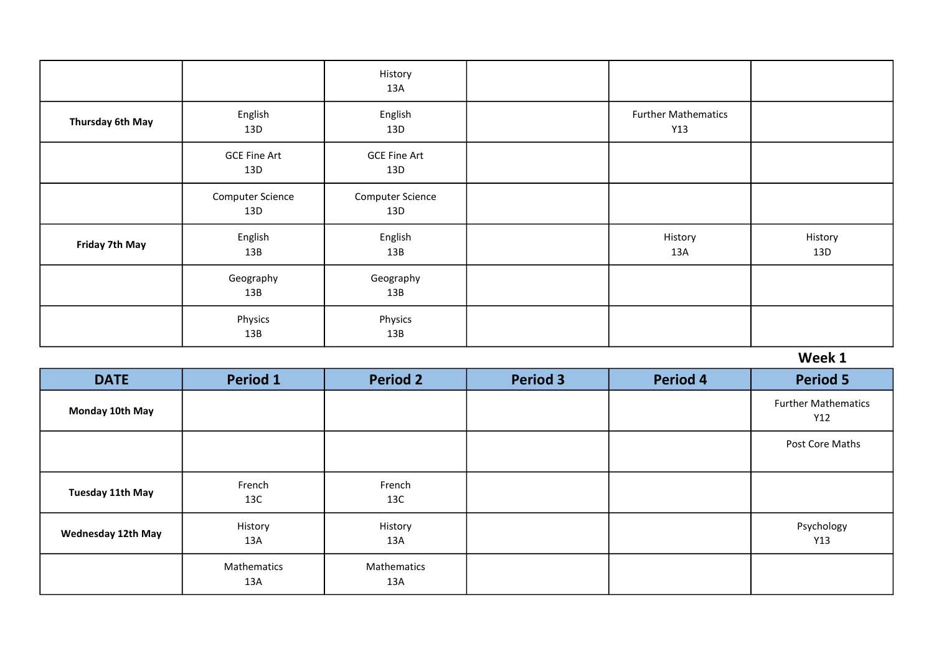|                  |                                | History<br>13A                 |                                   |                |
|------------------|--------------------------------|--------------------------------|-----------------------------------|----------------|
| Thursday 6th May | English<br>13D                 | English<br>13D                 | <b>Further Mathematics</b><br>Y13 |                |
|                  | <b>GCE Fine Art</b><br>13D     | <b>GCE Fine Art</b><br>13D     |                                   |                |
|                  | <b>Computer Science</b><br>13D | <b>Computer Science</b><br>13D |                                   |                |
| Friday 7th May   | English<br>13B                 | English<br>13B                 | History<br>13A                    | History<br>13D |
|                  | Geography<br>13B               | Geography<br>13B               |                                   |                |
|                  | Physics<br>13B                 | Physics<br>13B                 |                                   |                |

| <b>DATE</b>               | Period 1           | <b>Period 2</b>    | <b>Period 3</b> | <b>Period 4</b> | <b>Period 5</b>                   |
|---------------------------|--------------------|--------------------|-----------------|-----------------|-----------------------------------|
| Monday 10th May           |                    |                    |                 |                 | <b>Further Mathematics</b><br>Y12 |
|                           |                    |                    |                 |                 | Post Core Maths                   |
| Tuesday 11th May          | French<br>13C      | French<br>13C      |                 |                 |                                   |
| <b>Wednesday 12th May</b> | History<br>13A     | History<br>13A     |                 |                 | Psychology<br>Y13                 |
|                           | Mathematics<br>13A | Mathematics<br>13A |                 |                 |                                   |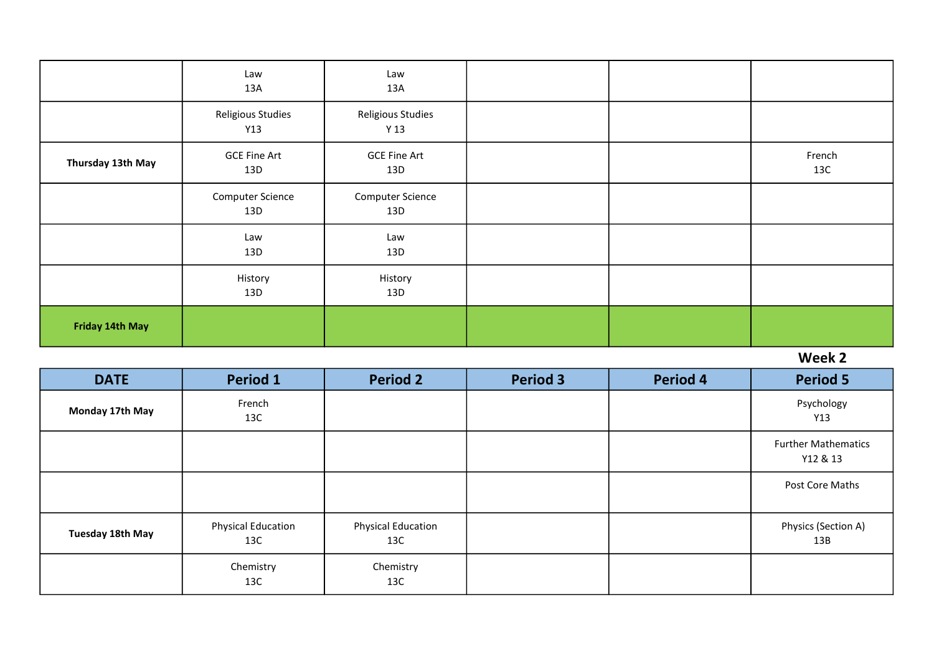|                   | Law<br>13A                     | Law<br>13A                           |  |               |
|-------------------|--------------------------------|--------------------------------------|--|---------------|
|                   | Religious Studies<br>Y13       | Religious Studies<br>Y <sub>13</sub> |  |               |
| Thursday 13th May | <b>GCE Fine Art</b><br>13D     | <b>GCE Fine Art</b><br>13D           |  | French<br>13C |
|                   | <b>Computer Science</b><br>13D | <b>Computer Science</b><br>13D       |  |               |
|                   | Law<br>13D                     | Law<br>13D                           |  |               |
|                   | History<br>13D                 | History<br>13D                       |  |               |
| Friday 14th May   |                                |                                      |  |               |

| <b>DATE</b>      | <b>Period 1</b>                  | <b>Period 2</b>           | <b>Period 3</b> | <b>Period 4</b> | <b>Period 5</b>                        |
|------------------|----------------------------------|---------------------------|-----------------|-----------------|----------------------------------------|
| Monday 17th May  | French<br>13C                    |                           |                 |                 | Psychology<br>Y13                      |
|                  |                                  |                           |                 |                 | <b>Further Mathematics</b><br>Y12 & 13 |
|                  |                                  |                           |                 |                 | Post Core Maths                        |
| Tuesday 18th May | <b>Physical Education</b><br>13C | Physical Education<br>13C |                 |                 | Physics (Section A)<br>13B             |
|                  | Chemistry<br>13C                 | Chemistry<br>13C          |                 |                 |                                        |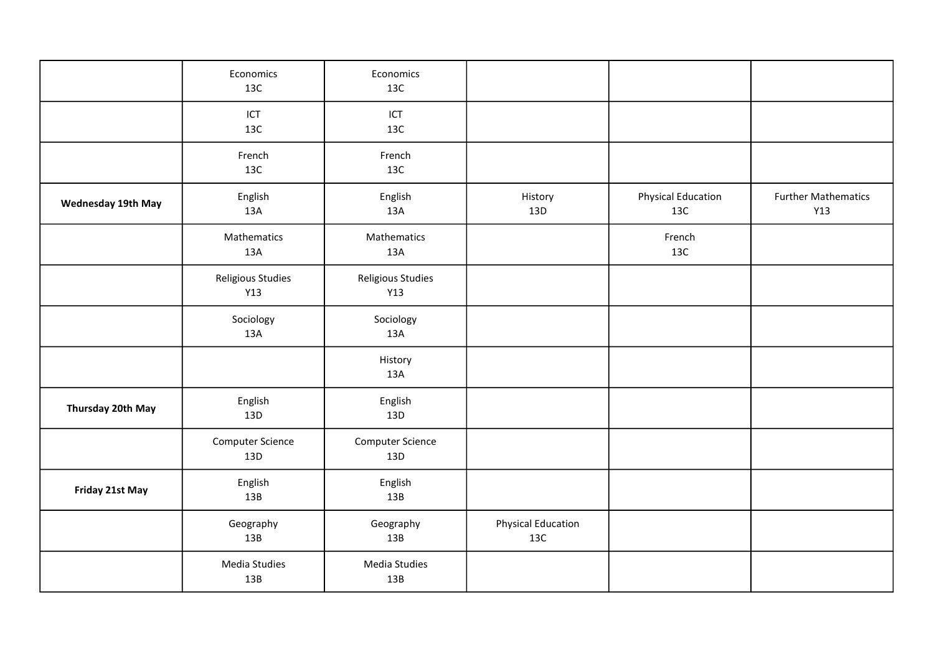|                    | Economics<br>13C         | Economics<br>13C         |                                  |                                  |                                   |
|--------------------|--------------------------|--------------------------|----------------------------------|----------------------------------|-----------------------------------|
|                    | ICT<br>13C               | ICT<br>13C               |                                  |                                  |                                   |
|                    | French<br>13C            | French<br>13C            |                                  |                                  |                                   |
| Wednesday 19th May | English<br>13A           | English<br>13A           | History<br>13D                   | <b>Physical Education</b><br>13C | <b>Further Mathematics</b><br>Y13 |
|                    | Mathematics<br>13A       | Mathematics<br>13A       |                                  | French<br>13C                    |                                   |
|                    | Religious Studies<br>Y13 | Religious Studies<br>Y13 |                                  |                                  |                                   |
|                    | Sociology<br>13A         | Sociology<br>13A         |                                  |                                  |                                   |
|                    |                          | History<br>13A           |                                  |                                  |                                   |
| Thursday 20th May  | English<br>13D           | English<br>13D           |                                  |                                  |                                   |
|                    | Computer Science<br>13D  | Computer Science<br>13D  |                                  |                                  |                                   |
| Friday 21st May    | English<br>13B           | English<br>13B           |                                  |                                  |                                   |
|                    | Geography<br>13B         | Geography<br>13B         | <b>Physical Education</b><br>13C |                                  |                                   |
|                    | Media Studies<br>13B     | Media Studies<br>13B     |                                  |                                  |                                   |